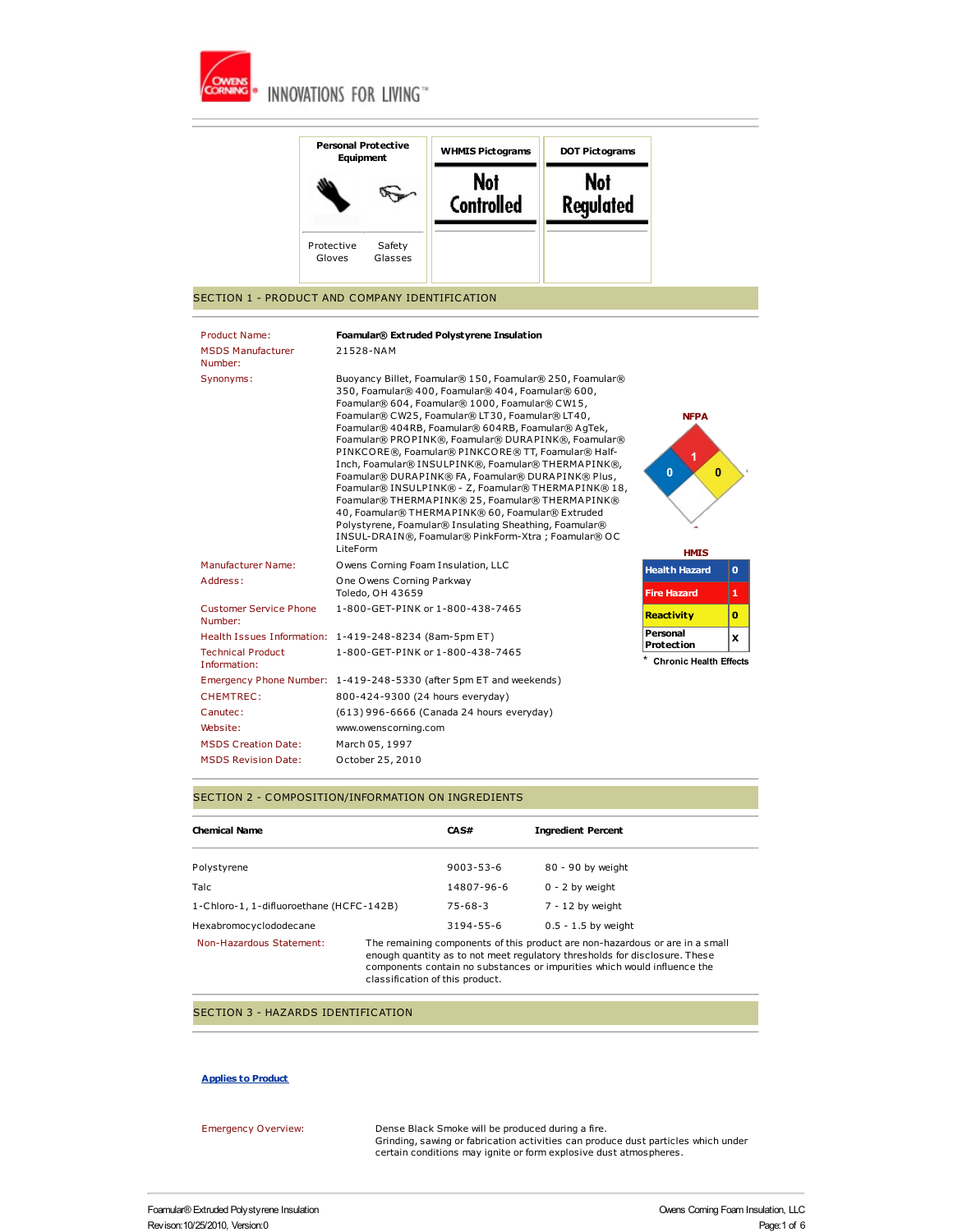

|                                                                    | <b>Personal Protective</b><br>Equipment       | <b>WHMIS Pictograms</b>                                                                                                                                                                                                                                                                                                                                                                                                                                                                                                                                                                                                                                                                                            | <b>DOT Pictograms</b>          |                                                         |             |
|--------------------------------------------------------------------|-----------------------------------------------|--------------------------------------------------------------------------------------------------------------------------------------------------------------------------------------------------------------------------------------------------------------------------------------------------------------------------------------------------------------------------------------------------------------------------------------------------------------------------------------------------------------------------------------------------------------------------------------------------------------------------------------------------------------------------------------------------------------------|--------------------------------|---------------------------------------------------------|-------------|
|                                                                    |                                               | <b>Not</b><br><b>Controlled</b>                                                                                                                                                                                                                                                                                                                                                                                                                                                                                                                                                                                                                                                                                    | <b>Not</b><br><b>Regulated</b> |                                                         |             |
|                                                                    | Protective<br>Safety<br>Gloves<br>Glasses     |                                                                                                                                                                                                                                                                                                                                                                                                                                                                                                                                                                                                                                                                                                                    |                                |                                                         |             |
| SECTION 1 - PRODUCT AND COMPANY IDENTIFICATION                     |                                               |                                                                                                                                                                                                                                                                                                                                                                                                                                                                                                                                                                                                                                                                                                                    |                                |                                                         |             |
| <b>Product Name:</b>                                               |                                               | Foamular® Extruded Polystyrene Insulation                                                                                                                                                                                                                                                                                                                                                                                                                                                                                                                                                                                                                                                                          |                                |                                                         |             |
| <b>MSDS Manufacturer</b><br>Number:                                | 21528-NAM                                     |                                                                                                                                                                                                                                                                                                                                                                                                                                                                                                                                                                                                                                                                                                                    |                                |                                                         |             |
|                                                                    | LiteForm                                      | 350, Foamular® 400, Foamular® 404, Foamular® 600,<br>Foamular® 604, Foamular® 1000, Foamular® CW15,<br>Foamular® CW25, Foamular® LT30, Foamular® LT40,<br>Foamular® 404RB, Foamular® 604RB, Foamular® AgTek,<br>Foamular® PROPINK®, Foamular® DURAPINK®, Foamular®<br>PINKCORE®, Foamular® PINKCORE® TT, Foamular® Half-<br>Inch, Foamular® INSULPINK®, Foamular® THERMAPINK®,<br>Foamular® DURAPINK® FA, Foamular® DURAPINK® Plus,<br>Foamular® INSULPINK® - Z, Foamular® THERMAPINK® 18,<br>Foamular® THERMAPINK® 25, Foamular® THERMAPINK®<br>40, Foamular® THERMAPINK® 60, Foamular® Extruded<br>Polystyrene, Foamular® Insulating Sheathing, Foamular®<br>INSUL-DRAIN®, Foamular® PinkForm-Xtra; Foamular® OC |                                | <b>NFPA</b><br>1<br>$\bf{0}$<br>$\bf{0}$<br><b>HMIS</b> |             |
| Manufacturer Name:                                                 | Owens Corning Foam Insulation, LLC            |                                                                                                                                                                                                                                                                                                                                                                                                                                                                                                                                                                                                                                                                                                                    |                                | <b>Health Hazard</b>                                    | $\mathbf o$ |
| Address:                                                           | One Owens Corning Parkway<br>Toledo, OH 43659 |                                                                                                                                                                                                                                                                                                                                                                                                                                                                                                                                                                                                                                                                                                                    |                                | <b>Fire Hazard</b>                                      | 1.          |
| <b>Customer Service Phone</b><br>Number:                           |                                               | 1-800-GET-PINK or 1-800-438-7465                                                                                                                                                                                                                                                                                                                                                                                                                                                                                                                                                                                                                                                                                   |                                | <b>Reactivity</b>                                       | o           |
| Health Issues Information: 1-419-248-8234 (8am-5pm ET)             |                                               |                                                                                                                                                                                                                                                                                                                                                                                                                                                                                                                                                                                                                                                                                                                    |                                | Personal<br><b>Protection</b>                           | x           |
| <b>Technical Product</b><br>Information:                           |                                               | 1-800-GET-PINK or 1-800-438-7465                                                                                                                                                                                                                                                                                                                                                                                                                                                                                                                                                                                                                                                                                   |                                | <b>Chronic Health Effects</b>                           |             |
| Emergency Phone Number: 1-419-248-5330 (after 5pm ET and weekends) |                                               |                                                                                                                                                                                                                                                                                                                                                                                                                                                                                                                                                                                                                                                                                                                    |                                |                                                         |             |
| CHEMTREC:                                                          | 800-424-9300 (24 hours everyday)              |                                                                                                                                                                                                                                                                                                                                                                                                                                                                                                                                                                                                                                                                                                                    |                                |                                                         |             |
| Canutec:                                                           |                                               | (613) 996-6666 (Canada 24 hours everyday)                                                                                                                                                                                                                                                                                                                                                                                                                                                                                                                                                                                                                                                                          |                                |                                                         |             |
| Website:                                                           | www.owenscorning.com                          |                                                                                                                                                                                                                                                                                                                                                                                                                                                                                                                                                                                                                                                                                                                    |                                |                                                         |             |
| <b>MSDS Creation Date:</b>                                         | March 05, 1997                                |                                                                                                                                                                                                                                                                                                                                                                                                                                                                                                                                                                                                                                                                                                                    |                                |                                                         |             |
| <b>MSDS Revision Date:</b>                                         | October 25, 2010                              |                                                                                                                                                                                                                                                                                                                                                                                                                                                                                                                                                                                                                                                                                                                    |                                |                                                         |             |

## SECTION 2 - COMPOSITION/INFORMATION ON INGREDIENTS

| <b>Chemical Name</b>                     |                                                                                                                                                                                                                                                                           | CAS#            | <b>Ingredient Percent</b> |  |  |
|------------------------------------------|---------------------------------------------------------------------------------------------------------------------------------------------------------------------------------------------------------------------------------------------------------------------------|-----------------|---------------------------|--|--|
| Polystyrene                              |                                                                                                                                                                                                                                                                           | $9003 - 53 - 6$ | 80 - 90 by weight         |  |  |
| <b>Talc</b>                              |                                                                                                                                                                                                                                                                           | 14807-96-6      | $0 - 2$ by weight         |  |  |
| 1-Chloro-1, 1-difluoroethane (HCFC-142B) |                                                                                                                                                                                                                                                                           | $75 - 68 - 3$   | $7 - 12$ by weight        |  |  |
| Hexabromocyclododecane                   |                                                                                                                                                                                                                                                                           | $3194 - 55 - 6$ | $0.5 - 1.5$ by weight     |  |  |
| Non-Hazardous Statement:                 | The remaining components of this product are non-hazardous or are in a small<br>enough quantity as to not meet regulatory thresholds for disclosure. These<br>components contain no substances or impurities which would influence the<br>classification of this product. |                 |                           |  |  |

## SECTION 3 - HAZARDS IDENTIFICATION

## **Applies to Product**

| Emergency Overview: | Dense Black Smoke will be produced during a fire.                                 |
|---------------------|-----------------------------------------------------------------------------------|
|                     | Grinding, sawing or fabrication activities can produce dust particles which under |
|                     | certain conditions may ignite or form explosive dust atmospheres.                 |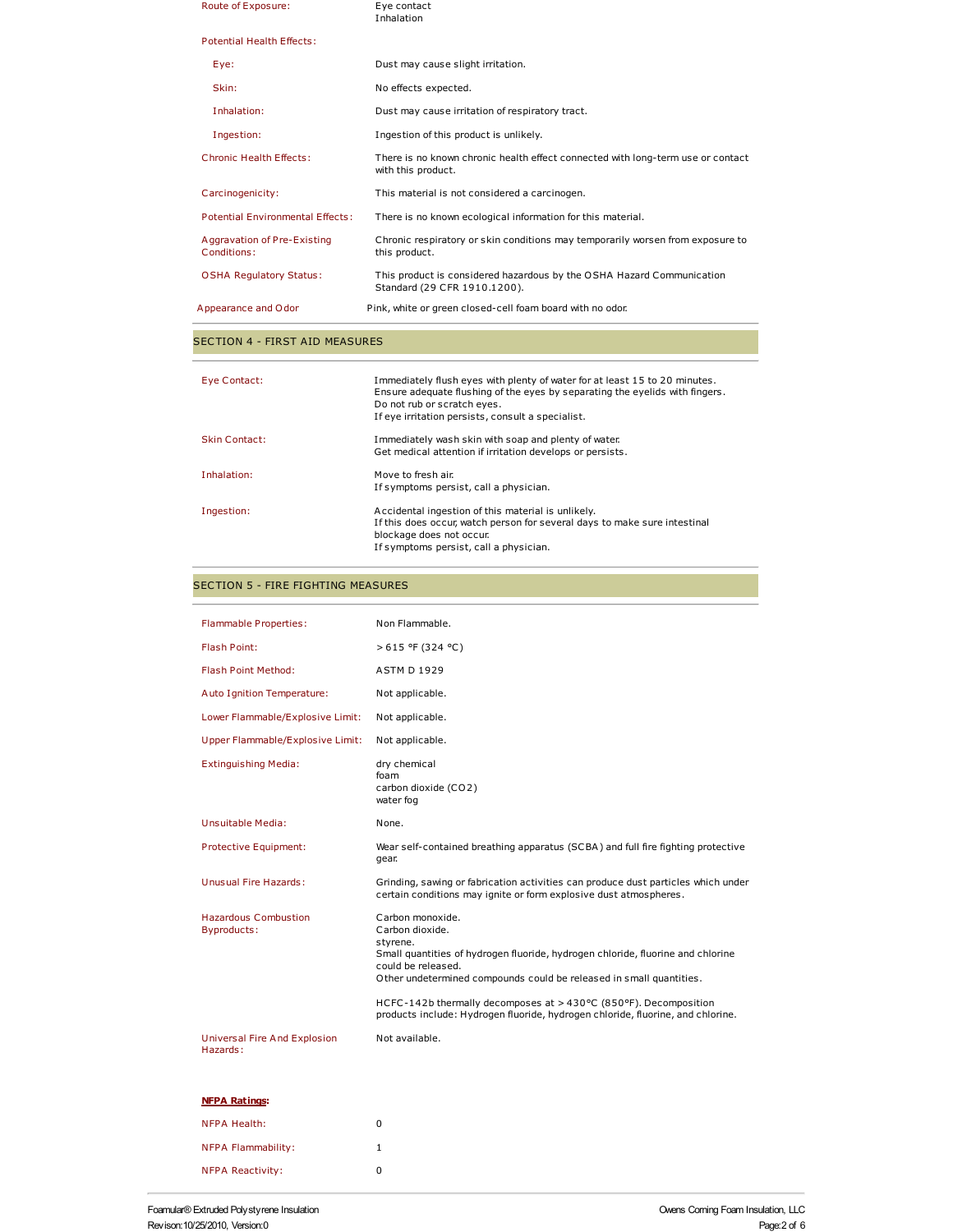| Appearance and Odor                        | Pink, white or green closed-cell foam board with no odor.                                             |
|--------------------------------------------|-------------------------------------------------------------------------------------------------------|
| <b>OSHA Regulatory Status:</b>             | This product is considered hazardous by the OSHA Hazard Communication<br>Standard (29 CFR 1910.1200). |
| Aggravation of Pre-Existing<br>Conditions: | Chronic respiratory or skin conditions may temporarily worsen from exposure to<br>this product.       |
| <b>Potential Environmental Effects:</b>    | There is no known ecological information for this material.                                           |
| Carcinogenicity:                           | This material is not considered a carcinogen.                                                         |
| <b>Chronic Health Effects:</b>             | There is no known chronic health effect connected with long-term use or contact<br>with this product. |
| Ingestion:                                 | Ingestion of this product is unlikely.                                                                |
| Inhalation:                                | Dust may cause irritation of respiratory tract.                                                       |
| Skin:                                      | No effects expected.                                                                                  |
| Eye:                                       | Dust may cause slight irritation.                                                                     |
| <b>Potential Health Effects:</b>           |                                                                                                       |
| Route of Exposure:                         | Eve contact<br>Inhalation                                                                             |

# SECTION 4 - FIRST AID MEASURES

| Eye Contact:         | Immediately flush eyes with plenty of water for at least 15 to 20 minutes.<br>Ensure adequate flushing of the eyes by separating the eyelids with fingers.<br>Do not rub or scratch eyes.<br>If eye irritation persists, consult a specialist. |
|----------------------|------------------------------------------------------------------------------------------------------------------------------------------------------------------------------------------------------------------------------------------------|
| <b>Skin Contact:</b> | Immediately wash skin with soap and plenty of water.<br>Get medical attention if irritation develops or persists.                                                                                                                              |
| Inhalation:          | Move to fresh air.<br>If symptoms persist, call a physician.                                                                                                                                                                                   |
| Ingestion:           | Accidental ingestion of this material is unlikely.<br>If this does occur, watch person for several days to make sure intestinal<br>blockage does not occur.<br>If symptoms persist, call a physician.                                          |

# SECTION 5 - FIRE FIGHTING MEASURES

| <b>Flammable Properties:</b>                      | Non Flammable.                                                                                                                                                                                                                  |
|---------------------------------------------------|---------------------------------------------------------------------------------------------------------------------------------------------------------------------------------------------------------------------------------|
| Flash Point:                                      | $>615$ °F (324 °C)                                                                                                                                                                                                              |
| Flash Point Method:                               | <b>ASTM D 1929</b>                                                                                                                                                                                                              |
| Auto Ignition Temperature:                        | Not applicable.                                                                                                                                                                                                                 |
| Lower Flammable/Explosive Limit:                  | Not applicable.                                                                                                                                                                                                                 |
| Upper Flammable/Explosive Limit:                  | Not applicable.                                                                                                                                                                                                                 |
| <b>Extinguishing Media:</b>                       | dry chemical<br>foam<br>carbon dioxide (CO2)<br>water fog                                                                                                                                                                       |
| Unsuitable Media:                                 | None.                                                                                                                                                                                                                           |
| Protective Equipment:                             | Wear self-contained breathing apparatus (SCBA) and full fire fighting protective<br>qear.                                                                                                                                       |
| Unusual Fire Hazards:                             | Grinding, sawing or fabrication activities can produce dust particles which under<br>certain conditions may ignite or form explosive dust atmospheres.                                                                          |
| <b>Hazardous Combustion</b><br><b>Byproducts:</b> | Carbon monoxide.<br>Carbon dioxide.<br>styrene.<br>Small quantities of hydrogen fluoride, hydrogen chloride, fluorine and chlorine<br>could be released.<br>Other undetermined compounds could be released in small quantities. |
|                                                   | HCFC-142b thermally decomposes at >430°C (850°F). Decomposition<br>products include: Hydrogen fluoride, hydrogen chloride, fluorine, and chlorine.                                                                              |
| <b>Universal Fire And Explosion</b><br>Hazards:   | Not available.                                                                                                                                                                                                                  |
| <b>NFPA Ratings:</b>                              |                                                                                                                                                                                                                                 |
| <b>NFPA Health:</b>                               | 0                                                                                                                                                                                                                               |
| <b>NFPA Flammability:</b>                         | $\mathbf{1}$                                                                                                                                                                                                                    |
| <b>NFPA Reactivity:</b>                           | $\mathbf 0$                                                                                                                                                                                                                     |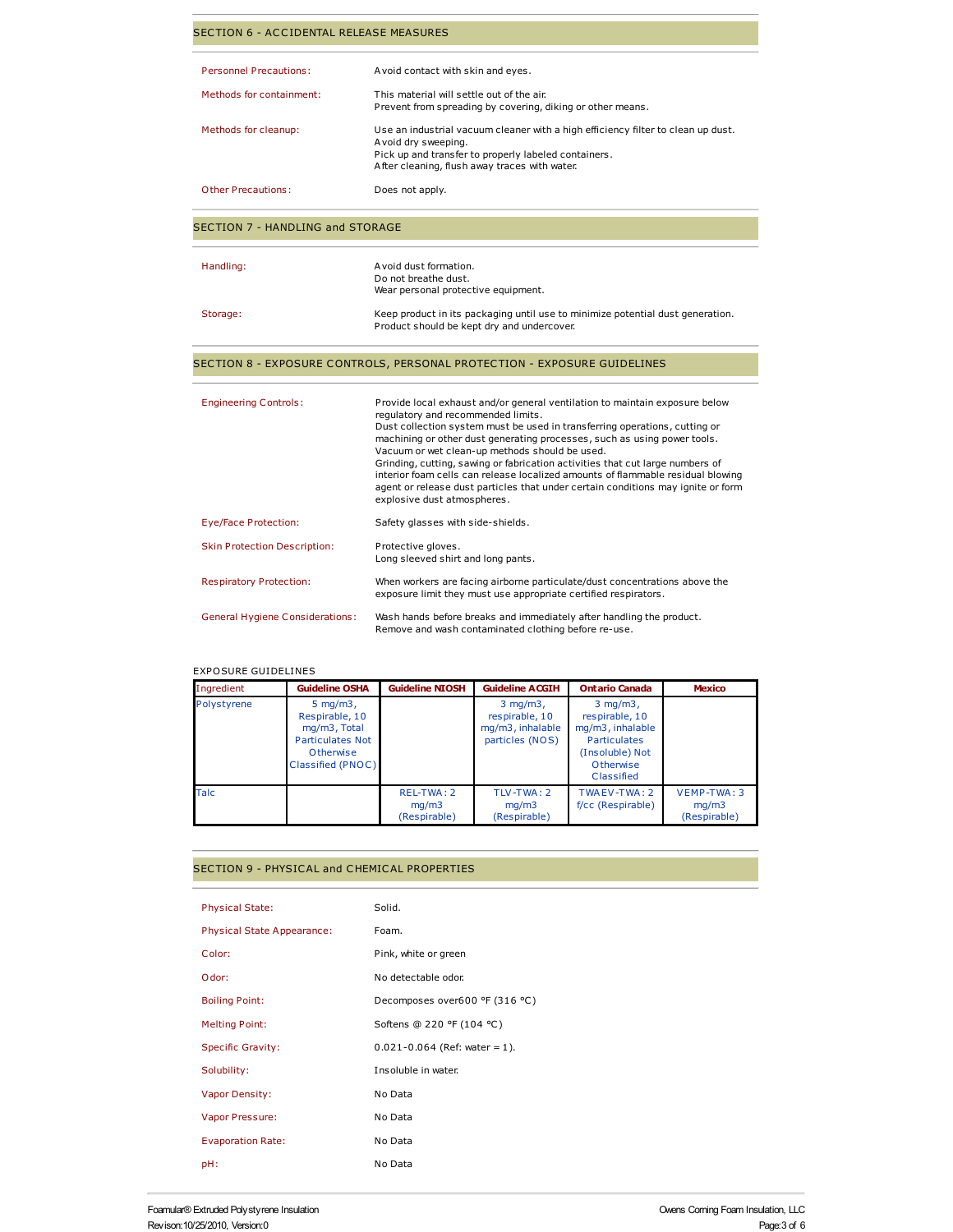| SECTION 6 - ACCIDENTAL RELEASE MEASURES |                                                                                                                                                                                                                                                                                                                                                                                                                                                                                                                                                                                                                      |  |  |  |
|-----------------------------------------|----------------------------------------------------------------------------------------------------------------------------------------------------------------------------------------------------------------------------------------------------------------------------------------------------------------------------------------------------------------------------------------------------------------------------------------------------------------------------------------------------------------------------------------------------------------------------------------------------------------------|--|--|--|
| <b>Personnel Precautions:</b>           | A void contact with skin and eyes.                                                                                                                                                                                                                                                                                                                                                                                                                                                                                                                                                                                   |  |  |  |
| Methods for containment:                | This material will settle out of the air.<br>Prevent from spreading by covering, diking or other means.                                                                                                                                                                                                                                                                                                                                                                                                                                                                                                              |  |  |  |
| Methods for cleanup:                    | Use an industrial vacuum cleaner with a high efficiency filter to clean up dust.<br>Avoid dry sweeping.<br>Pick up and transfer to properly labeled containers.<br>After cleaning, flush away traces with water.                                                                                                                                                                                                                                                                                                                                                                                                     |  |  |  |
| <b>Other Precautions:</b>               | Does not apply.                                                                                                                                                                                                                                                                                                                                                                                                                                                                                                                                                                                                      |  |  |  |
| <b>SECTION 7 - HANDLING and STORAGE</b> |                                                                                                                                                                                                                                                                                                                                                                                                                                                                                                                                                                                                                      |  |  |  |
| Handling:                               | A void dust formation.<br>Do not breathe dust.<br>Wear personal protective equipment.                                                                                                                                                                                                                                                                                                                                                                                                                                                                                                                                |  |  |  |
| Storage:                                | Keep product in its packaging until use to minimize potential dust generation.<br>Product should be kept dry and undercover.                                                                                                                                                                                                                                                                                                                                                                                                                                                                                         |  |  |  |
|                                         | SECTION 8 - EXPOSURE CONTROLS, PERSONAL PROTECTION - EXPOSURE GUIDELINES                                                                                                                                                                                                                                                                                                                                                                                                                                                                                                                                             |  |  |  |
| <b>Engineering Controls:</b>            | Provide local exhaust and/or general ventilation to maintain exposure below<br>regulatory and recommended limits.<br>Dust collection system must be used in transferring operations, cutting or<br>machining or other dust generating processes, such as using power tools.<br>Vacuum or wet clean-up methods should be used.<br>Grinding, cutting, sawing or fabrication activities that cut large numbers of<br>interior foam cells can release localized amounts of flammable residual blowing<br>agent or release dust particles that under certain conditions may ignite or form<br>explosive dust atmospheres. |  |  |  |
| Eye/Face Protection:                    | Safety glasses with side-shields.                                                                                                                                                                                                                                                                                                                                                                                                                                                                                                                                                                                    |  |  |  |
| <b>Skin Protection Description:</b>     | Protective gloves.<br>Long sleeved shirt and long pants.                                                                                                                                                                                                                                                                                                                                                                                                                                                                                                                                                             |  |  |  |
| <b>Respiratory Protection:</b>          | When workers are facing airborne particulate/dust concentrations above the<br>exposure limit they must use appropriate certified respirators.                                                                                                                                                                                                                                                                                                                                                                                                                                                                        |  |  |  |

General Hygiene Considerations: Wash hands before breaks and immediately after handling the product. Remove and wash contaminated clothing before re-use.

### EXPOSURE GUIDELINES

| Ingredient  | <b>Guideline OSHA</b>                                                                                              | <b>Guideline NIOSH</b>              | <b>Guideline ACGIH</b>                                                  | <b>Ontario Canada</b>                                                                                                     | <b>Mexico</b>                        |
|-------------|--------------------------------------------------------------------------------------------------------------------|-------------------------------------|-------------------------------------------------------------------------|---------------------------------------------------------------------------------------------------------------------------|--------------------------------------|
| Polystyrene | $5 \text{ mg/m3}$ ,<br>Respirable, 10<br>mg/m3, Total<br><b>Particulates Not</b><br>Otherwise<br>Classified (PNOC) |                                     | $3$ mg/m $3$ ,<br>respirable, 10<br>mg/m3, inhalable<br>particles (NOS) | $3$ mg/m $3$ ,<br>respirable, 10<br>mg/m3, inhalable<br><b>Particulates</b><br>(Insoluble) Not<br>Otherwise<br>Classified |                                      |
| <b>Talc</b> |                                                                                                                    | REL-TWA: 2<br>mq/m3<br>(Respirable) | TLV-TWA: 2<br>mq/m3<br>(Respirable)                                     | TWA EV-TWA: 2<br>f/cc (Respirable)                                                                                        | VEMP-TWA: 3<br>mq/m3<br>(Respirable) |

## SECTION 9 - PHYSICAL and CHEMICAL PROPERTIES

| <b>Physical State:</b>            | Solid.                            |
|-----------------------------------|-----------------------------------|
| <b>Physical State Appearance:</b> | Foam.                             |
| Color:                            | Pink, white or green              |
| Odor:                             | No detectable odor.               |
| <b>Boiling Point:</b>             | Decomposes over600 °F (316 °C)    |
| <b>Melting Point:</b>             | Softens @ 220 °F (104 °C)         |
| <b>Specific Gravity:</b>          | $0.021 - 0.064$ (Ref: water = 1). |
| Solubility:                       | Insoluble in water.               |
| Vapor Density:                    | No Data                           |
| Vapor Pressure:                   | No Data                           |
| <b>Evaporation Rate:</b>          | No Data                           |
| pH:                               | No Data                           |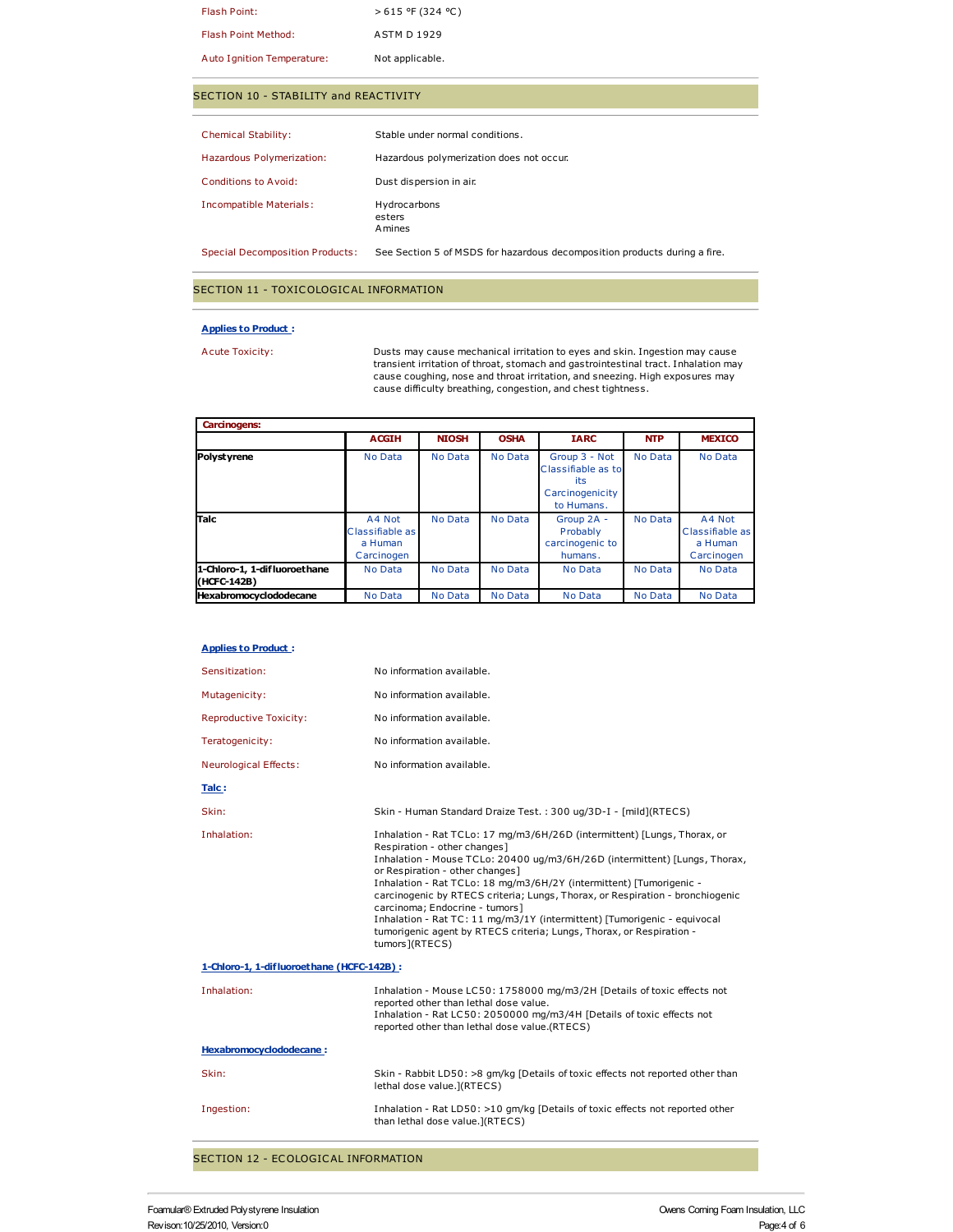| Flash Point:               | $>615$ °F (324 °C) |
|----------------------------|--------------------|
| <b>Flash Point Method:</b> | <b>ASTM D1929</b>  |
| Auto Ignition Temperature: | Not applicable.    |

## SECTION 10 - STABILITY and REACTIVITY

| <b>Chemical Stability:</b>             | Stable under normal conditions.                                           |
|----------------------------------------|---------------------------------------------------------------------------|
| Hazardous Polymerization:              | Hazardous polymerization does not occur.                                  |
| Conditions to Avoid:                   | Dust dispersion in air.                                                   |
| Incompatible Materials:                | Hydrocarbons<br>esters<br><b>A</b> mines                                  |
| <b>Special Decomposition Products:</b> | See Section 5 of MSDS for hazardous decomposition products during a fire. |

### SECTION 11 - TOXICOLOGICAL INFORMATION

#### **Applies to Product :**

Acute Toxicity: Dusts may cause mechanical irritation to eyes and skin. Ingestion may cause transient irritation of throat, stomach and gastrointestinal tract. Inhalation may cause coughing, nose and throat irritation, and sneezing. High exposures may cause difficulty breathing, congestion, and chest tightness.

| <b>Carcinogens:</b>                         |                                                    |              |                |                                                                             |            |                                                    |  |
|---------------------------------------------|----------------------------------------------------|--------------|----------------|-----------------------------------------------------------------------------|------------|----------------------------------------------------|--|
|                                             | <b>ACGIH</b>                                       | <b>NIOSH</b> | <b>OSHA</b>    | <b>IARC</b>                                                                 | <b>NTP</b> | <b>MEXICO</b>                                      |  |
| Polystyrene                                 | No Data                                            | No Data      | No Data        | Group 3 - Not<br>Classifiable as to<br>its<br>Carcinogenicity<br>to Humans. | No Data    | No Data                                            |  |
| Talc                                        | A4 Not<br>Classifiable as<br>a Human<br>Carcinogen | No Data      | No Data        | Group 2A -<br>Probably<br>carcinogenic to<br>humans.                        | No Data    | A4 Not<br>Classifiable as<br>a Human<br>Carcinogen |  |
| 1-Chloro-1, 1-difluoroethane<br>(HCFC-142B) | No Data                                            | No Data      | No Data        | No Data                                                                     | No Data    | No Data                                            |  |
| <b>Hexabromocyclododecane</b>               | No Data                                            | No Data      | <b>No Data</b> | No Data                                                                     | No Data    | <b>No Data</b>                                     |  |

#### **Applies to Product :**

| Inhalation - Mouse TCLo: 20400 ug/m3/6H/26D (intermittent) [Lungs, Thorax,<br>carcinogenic by RTECS criteria; Lungs, Thorax, or Respiration - bronchiogenic |
|-------------------------------------------------------------------------------------------------------------------------------------------------------------|
|                                                                                                                                                             |
|                                                                                                                                                             |
|                                                                                                                                                             |
| Skin - Rabbit LD50: >8 qm/kq [Details of toxic effects not reported other than                                                                              |
|                                                                                                                                                             |
|                                                                                                                                                             |

SECTION 12 - ECOLOGICAL INFORMATION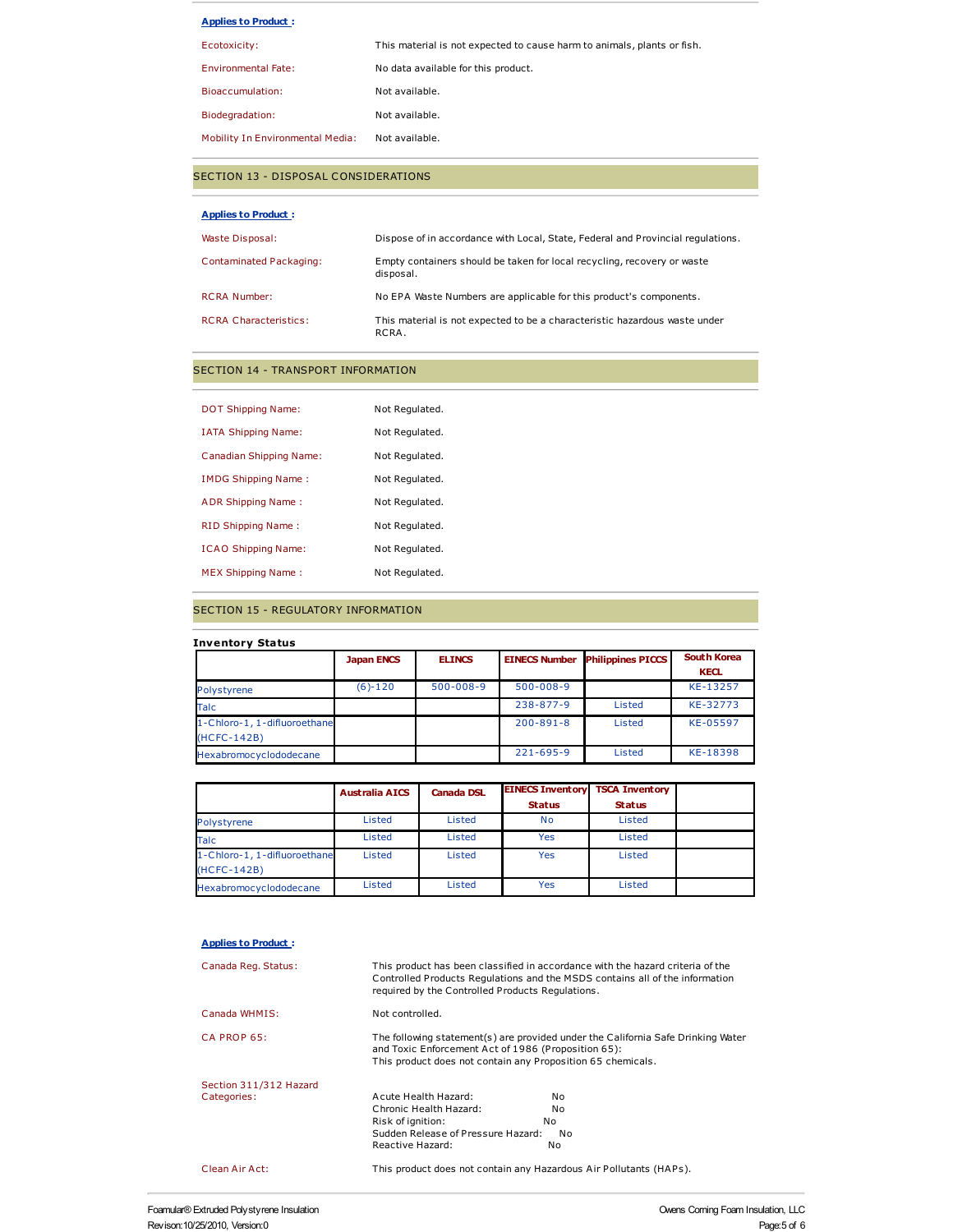| <b>Applies to Product:</b> |
|----------------------------|
|----------------------------|

| This material is not expected to cause harm to animals, plants or fish. |
|-------------------------------------------------------------------------|
| No data available for this product.                                     |
| Not available.                                                          |
| Not available.                                                          |
| Not available.                                                          |
|                                                                         |

## SECTION 13 - DISPOSAL CONSIDERATIONS

| <b>Applies to Product:</b>   |                                                                                      |
|------------------------------|--------------------------------------------------------------------------------------|
| Waste Disposal:              | Dispose of in accordance with Local, State, Federal and Provincial regulations.      |
| Contaminated Packaging:      | Empty containers should be taken for local recycling, recovery or waste<br>disposal. |
| <b>RCRA Number:</b>          | No EPA Waste Numbers are applicable for this product's components.                   |
| <b>RCRA Characteristics:</b> | This material is not expected to be a characteristic hazardous waste under<br>RCRA.  |

# SECTION 14 - TRANSPORT INFORMATION

| <b>DOT Shipping Name:</b>  | Not Regulated. |
|----------------------------|----------------|
| <b>IATA Shipping Name:</b> | Not Regulated. |
| Canadian Shipping Name:    | Not Regulated. |
| IMDG Shipping Name:        | Not Regulated. |
| ADR Shipping Name:         | Not Regulated. |
| RID Shipping Name:         | Not Regulated. |
| <b>ICAO Shipping Name:</b> | Not Regulated. |
| <b>MEX Shipping Name:</b>  | Not Regulated. |

## SECTION 15 - REGULATORY INFORMATION

| <b>Inventory Status</b>                     |                   |                 |                      |                          |                                   |
|---------------------------------------------|-------------------|-----------------|----------------------|--------------------------|-----------------------------------|
|                                             | <b>Japan ENCS</b> | <b>ELINCS</b>   | <b>EINECS Number</b> | <b>Philippines PICCS</b> | <b>South Korea</b><br><b>KECL</b> |
| Polystyrene                                 | $(6)-120$         | $500 - 008 - 9$ | $500 - 008 - 9$      |                          | KE-13257                          |
| <b>Talc</b>                                 |                   |                 | $238 - 877 - 9$      | Listed                   | KE-32773                          |
| 1-Chloro-1, 1-difluoroethane<br>(HCFC-142B) |                   |                 | $200 - 891 - 8$      | Listed                   | KE-05597                          |
| Hexabromocyclododecane                      |                   |                 | $221 - 695 - 9$      | Listed                   | KE-18398                          |

|                              | <b>Australia AICS</b> | <b>Canada DSL</b> | <b>EINECS Inventory TSCA Inventory</b> |               |  |
|------------------------------|-----------------------|-------------------|----------------------------------------|---------------|--|
|                              |                       |                   | <b>Status</b>                          | <b>Status</b> |  |
| Polystyrene                  | Listed                | Listed            | <b>No</b>                              | Listed        |  |
| Talc                         | Listed                | Listed            | Yes                                    | Listed        |  |
| 1-Chloro-1, 1-difluoroethane | Listed                | Listed            | Yes                                    | Listed        |  |
| (HCFC-142B)                  |                       |                   |                                        |               |  |
| Hexabromocyclododecane       | Listed                | Listed            | Yes                                    | Listed        |  |

### **Applies to Product :**

| Canada Reg. Status:    | required by the Controlled Products Regulations.                                                                   | This product has been classified in accordance with the hazard criteria of the<br>Controlled Products Regulations and the MSDS contains all of the information |
|------------------------|--------------------------------------------------------------------------------------------------------------------|----------------------------------------------------------------------------------------------------------------------------------------------------------------|
| Canada WHMIS:          | Not controlled.                                                                                                    |                                                                                                                                                                |
| CA PROP 65:            | and Toxic Enforcement Act of 1986 (Proposition 65):<br>This product does not contain any Proposition 65 chemicals. | The following statement(s) are provided under the California Safe Drinking Water                                                                               |
| Section 311/312 Hazard |                                                                                                                    |                                                                                                                                                                |
| Categories:            | Acute Health Hazard:                                                                                               | No                                                                                                                                                             |
|                        | Chronic Health Hazard:                                                                                             | No                                                                                                                                                             |
|                        | Risk of ignition:                                                                                                  | No                                                                                                                                                             |
|                        | Sudden Release of Pressure Hazard:                                                                                 | No                                                                                                                                                             |
|                        | Reactive Hazard:                                                                                                   | No.                                                                                                                                                            |
| Clean Air Act:         | This product does not contain any Hazardous Air Pollutants (HAPs).                                                 |                                                                                                                                                                |